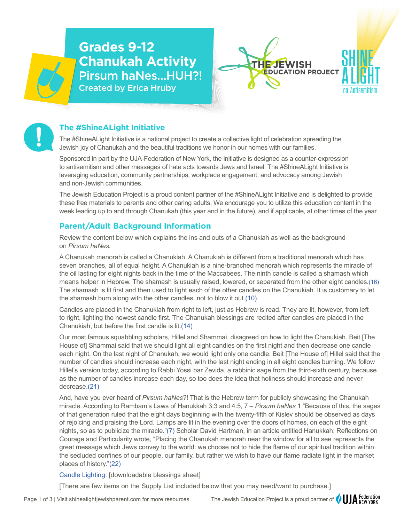# **Grades 9-12 Chanukah Activity** Pirsum haNes…HUH?! Created by Erica Hruby





## **The #ShineALight Initiative**

The #ShineALight Initiative is a national project to create a collective light of celebration spreading the Jewish joy of Chanukah and the beautiful traditions we honor in our homes with our families.

Sponsored in part by the UJA-Federation of New York, the initiative is designed as a counter-expression to antisemitism and other messages of hate acts towards Jews and Israel. The #ShineALight Initiative is leveraging education, community partnerships, workplace engagement, and advocacy among Jewish and non-Jewish communities.

The Jewish Education Project is a proud content partner of the #ShineALight Initiative and is delighted to provide these free materials to parents and other caring adults. We encourage you to utilize this education content in the week leading up to and through Chanukah (this year and in the future), and if applicable, at other times of the year.

## **Parent/Adult Background Information**

Review the content below which explains the ins and outs of a Chanukiah as well as the background on *Pirsum haNes.*

A Chanukah menorah is called a Chanukiah. A Chanukiah is different from a traditional menorah which has seven branches, all of equal height. A Chanukiah is a nine-branched menorah which represents the miracle of the oil lasting for eight nights back in the time of the Maccabees. The ninth candle is called a shamash which means helper in Hebrew. The shamash is usually raised, lowered, or separated from the other eight candles.[\(16\)](https://www.mentalfloss.com/article/519439/25-questions-about-hanukkah-answered) The shamash is lit first and then used to light each of the other candles on the Chanukiah. It is customary to let the shamash burn along with the other candles, not to blow it out.[\(10\)](https://www.myjewishlearning.com/article/what-is-the-shamash-candle-for-hanukkah/)

Candles are placed in the Chanukiah from right to left, just as Hebrew is read. They are lit, however, from left to right, lighting the newest candle first. The Chanukah blessings are recited after candles are placed in the Chanukiah, but before the first candle is lit.[\(14\)](https://www.myjewishlearning.com/article/the-hanukkah-blessings/)

Our most famous squabbling scholars, Hillel and Shammai, disagreed on how to light the Chanukiah. Beit [The House of] Shammai said that we should light all eight candles on the first night and then decrease one candle each night. On the last night of Chanukah, we would light only one candle. Beit [The House of] Hillel said that the number of candles should increase each night, with the last night ending in all eight candles burning. We follow Hillel's version today, according to Rabbi Yossi bar Zevida, a rabbinic sage from the third-sixth century, because as the number of candles increase each day, so too does the idea that holiness should increase and never decrease[.\(21\)](https://www.jewishedproject.org/news/finding-hope-hanukkah-lights)

And, have you ever heard of *Pirsum haNes*?! That is the Hebrew term for publicly showcasing the Chanukah miracle. According to Rambam's Laws of Hanukkah 3:3 and 4:5, 7 – *Pirsum haNes* 1 "Because of this, the sages of that generation ruled that the eight days beginning with the twenty-fifth of Kislev should be observed as days of rejoicing and praising the Lord. Lamps are lit in the evening over the doors of homes, on each of the eight nights, so as to publicize the miracle."[\(7\)](http://ohavizedek.org/wp-content/uploads/2018/12/the-freedom-to-be-different-2018.pdf) Scholar David Hartman, in an article entitled Hanukkah: Reflections on Courage and Particularity wrote, "Placing the Chanukah menorah near the window for all to see represents the great message which Jews convey to the world: we choose not to hide the flame of our spiritual tradition within the secluded confines of our people, our family, but rather we wish to have our flame radiate light in the market places of history.["\(22\)](https://www.hartman.org.il/hanukkah-reflections-on-courage-and-particularity/)

[Candle Lighting:](https://www.myjewishlearning.com/wp-content/uploads/2021/10/hanukkah-candles-blessings-2.pdf) [downloadable blessings sheet]

[There are few items on the Supply List included below that you may need/want to purchase.]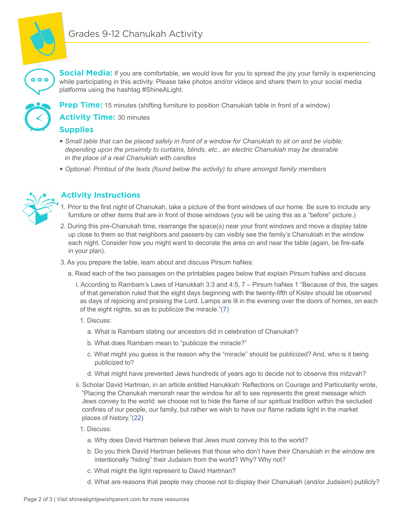

**Social Media:** If you are comfortable, we would love for you to spread the joy your family is experiencing while participating in this activity. Please take photos and/or videos and share them to your social media platforms using the hashtag #ShineALight.



 $\bullet$   $\bullet$   $\bullet$ 

**Prep Time:** 15 minutes (shifting furniture to position Chanukiah table in front of a window)

**Activity Time:** 30 minutes

#### **Supplies**

- � *Small table that can be placed safely in front of a window for Chanukiah to sit on and be visible; depending upon the proximity to curtains, blinds, etc., an electric Chanukiah may be desirable in the place of a real Chanukiah with candles*
- � *Optional: Printout of the texts (found below the activity) to share amongst family members*



## **Activity Instructions**

- . Prior to the first night of Chanukah, take a picture of the front windows of our home. Be sure to include any furniture or other items that are in front of those windows (you will be using this as a "before" picture.)
- 2. During this pre-Chanukah time, rearrange the space(s) near your front windows and move a display table up close to them so that neighbors and passers-by can visibly see the family's Chanukiah in the window each night. Consider how you might want to decorate the area on and near the table (again, be fire-safe in your plan).
- 3. As you prepare the table, learn about and discuss Pirsum haNes:
	- a. Read each of the two passages on the printables pages below that explain Pirsum haNes and discuss
		- i. According to Rambam's Laws of Hanukkah 3:3 and 4:5, 7 Pirsum haNes 1 "Because of this, the sages of that generation ruled that the eight days beginning with the twenty-fifth of Kislev should be observed as days of rejoicing and praising the Lord. Lamps are lit in the evening over the doors of homes, on each of the eight nights, so as to publicize the miracle."[\(7\)](http://ohavizedek.org/wp-content/uploads/2018/12/the-freedom-to-be-different-2018.pdf) 
			- 1. Discuss:
				- a. What is Rambam stating our ancestors did in celebration of Chanukah?
				- b. What does Rambam mean to "publicize the miracle?"
				- c. What might you guess is the reason why the "miracle" should be publicized? And, who is it being publicized to?
				- d. What might have prevented Jews hundreds of years ago to decide not to observe this mitzvah?
		- ii. Scholar David Hartman, in an article entitled Hanukkah: Reflections on Courage and Particularity wrote, "Placing the Chanukah menorah near the window for all to see represents the great message which Jews convey to the world: we choose not to hide the flame of our spiritual tradition within the secluded confines of our people, our family, but rather we wish to have our flame radiate light in the market places of history.["\(22\)](https://www.hartman.org.il/hanukkah-reflections-on-courage-and-particularity/)
			- 1. Discuss:
				- a. Why does David Hartman believe that Jews must convey this to the world?
				- b. Do you think David Hartman believes that those who don't have their Chanukiah in the window are intentionally "hiding" their Judaism from the world? Why? Why not?
				- c. What might the light represent to David Hartman?
				- d. What are reasons that people may choose not to display their Chanukiah (and/or Judaism) publicly?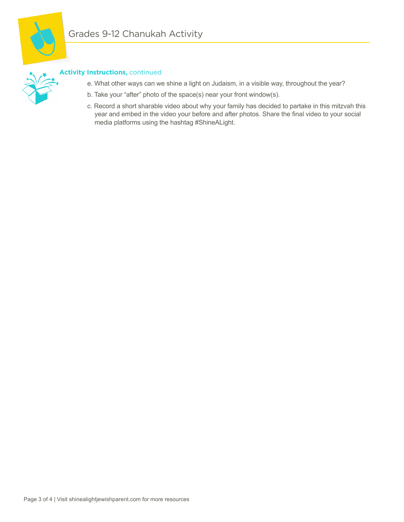

# **Activity Instructions,** continued

- e. What other ways can we shine a light on Judaism, in a visible way, throughout the year?
- b. Take your "after" photo of the space(s) near your front window(s).
- c. Record a short sharable video about why your family has decided to partake in this mitzvah this year and embed in the video your before and after photos. Share the final video to your social media platforms using the hashtag #ShineALight.